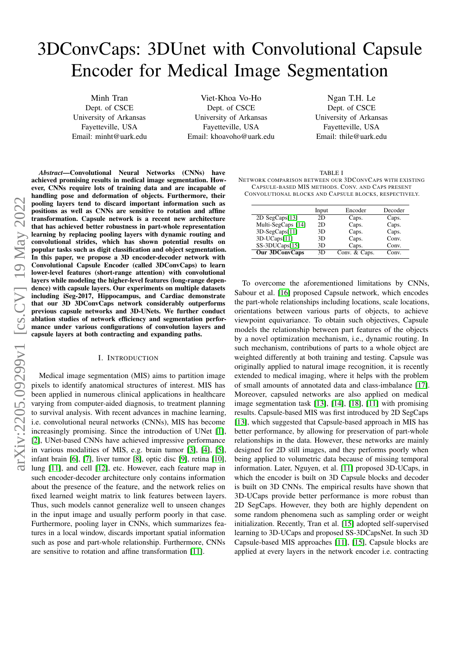# 3DConvCaps: 3DUnet with Convolutional Capsule Encoder for Medical Image Segmentation

Minh Tran Dept. of CSCE University of Arkansas Fayetteville, USA Email: minht@uark.edu

Viet-Khoa Vo-Ho Dept. of CSCE University of Arkansas Fayetteville, USA Email: khoavoho@uark.edu

Ngan T.H. Le Dept. of CSCE University of Arkansas Fayetteville, USA Email: thile@uark.edu

*Abstract*—Convolutional Neural Networks (CNNs) have achieved promising results in medical image segmentation. However, CNNs require lots of training data and are incapable of handling pose and deformation of objects. Furthermore, their pooling layers tend to discard important information such as positions as well as CNNs are sensitive to rotation and affine transformation. Capsule network is a recent new architecture that has achieved better robustness in part-whole representation learning by replacing pooling layers with dynamic routing and convolutional strides, which has shown potential results on popular tasks such as digit classification and object segmentation. In this paper, we propose a 3D encoder-decoder network with Convolutional Capsule Encoder (called 3DConvCaps) to learn lower-level features (short-range attention) with convolutional layers while modeling the higher-level features (long-range dependence) with capsule layers. Our experiments on multiple datasets including iSeg-2017, Hippocampus, and Cardiac demonstrate that our 3D 3DConvCaps network considerably outperforms previous capsule networks and 3D-UNets. We further conduct ablation studies of network efficiency and segmentation performance under various configurations of convolution layers and capsule layers at both contracting and expanding paths.

#### I. INTRODUCTION

Medical image segmentation (MIS) aims to partition image pixels to identify anatomical structures of interest. MIS has been applied in numerous clinical applications in healthcare varying from computer-aided diagnosis, to treatment planning to survival analysis. With recent advances in machine learning, i.e. convolutional neural networks (CNNs), MIS has become increasingly promising. Since the introduction of UNet [\[1\]](#page-5-0), [\[2\]](#page-5-1), UNet-based CNNs have achieved impressive performance in various modalities of MIS, e.g. brain tumor [\[3\]](#page-5-2), [\[4\]](#page-6-0), [\[5\]](#page-6-1), infant brain [\[6\]](#page-6-2), [\[7\]](#page-6-3), liver tumor [\[8\]](#page-6-4), optic disc [\[9\]](#page-6-5), retina [\[10\]](#page-6-6), lung [\[11\]](#page-6-7), and cell [\[12\]](#page-6-8), etc. However, each feature map in such encoder-decoder architecture only contains information about the presence of the feature, and the network relies on fixed learned weight matrix to link features between layers. Thus, such models cannot generalize well to unseen changes in the input image and usually perform poorly in that case. Furthermore, pooling layer in CNNs, which summarizes features in a local window, discards important spatial information such as pose and part-whole relationship. Furthermore, CNNs are sensitive to rotation and affine transformation [\[11\]](#page-6-7).

<span id="page-0-0"></span>TABLE I NETWORK COMPARISON BETWEEN OUR 3DCONVCAPS WITH EXISTING CAPSULE-BASED MIS METHODS. CONV. AND CAPS PRESENT CONVOLUTIONAL BLOCKS AND CAPSULE BLOCKS, RESPECTIVELY.

|                    | Input | Encoder       | Decoder  |
|--------------------|-------|---------------|----------|
| $2D$ SegCaps[13]   | 2D    | Caps.         | Caps.    |
| Multi-SegCaps [14] | 2D    | Caps.         | Caps.    |
| 3D-SegCaps[11]     | 3D.   | Caps.         | Caps.    |
| 3D-UCaps[11]       | 3D    | Caps.         | Conv.    |
| SS-3DUCaps[15]     | 3D    | Caps.         | Conv.    |
| Our 3DConvCaps     | 3D    | Conv. & Caps. | $Conv$ . |

To overcome the aforementioned limitations by CNNs, Sabour et al. [\[16\]](#page-6-12) proposed Capsule network, which encodes the part-whole relationships including locations, scale locations, orientations between various parts of objects, to achieve viewpoint equivariance. To obtain such objectives, Capsule models the relationship between part features of the objects by a novel optimization mechanism, i.e., dynamic routing. In such mechanism, contributions of parts to a whole object are weighted differently at both training and testing. Capsule was originally applied to natural image recognition, it is recently extended to medical imaging, where it helps with the problem of small amounts of annotated data and class-imbalance [\[17\]](#page-6-13). Moreover, capsuled networks are also applied on medical image segmentation task [\[13\]](#page-6-9), [\[14\]](#page-6-10), [\[18\]](#page-6-14), [\[11\]](#page-6-7) with promising results. Capsule-based MIS was first introduced by 2D SegCaps [\[13\]](#page-6-9), which suggested that Capsule-based approach in MIS has better performance, by allowing for preservation of part-whole relationships in the data. However, these networks are mainly designed for 2D still images, and they performs poorly when being applied to volumetric data because of missing temporal information. Later, Nguyen, et al. [\[11\]](#page-6-7) proposed 3D-UCaps, in which the encoder is built on 3D Capsule blocks and decoder is built on 3D CNNs. The empirical results have shown that 3D-UCaps provide better performance is more robust than 2D SegCaps. However, they both are highly dependent on some random phenomena such as sampling order or weight initialization. Recently, Tran et al. [\[15\]](#page-6-11) adopted self-supervised learning to 3D-UCaps and proposed SS-3DCapsNet. In such 3D Capsule-based MIS approaches [\[11\]](#page-6-7), [\[15\]](#page-6-11), Capsule blocks are applied at every layers in the network encoder i.e. contracting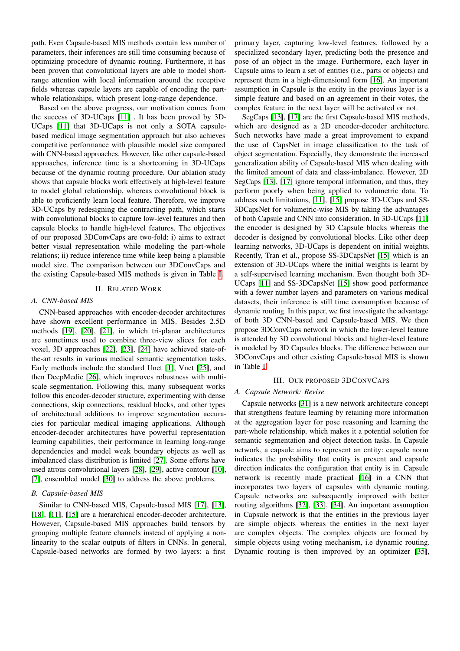path. Even Capsule-based MIS methods contain less number of parameters, their inferences are still time consuming because of optimizing procedure of dynamic routing. Furthermore, it has been proven that convolutional layers are able to model shortrange attention with local information around the receptive fields whereas capsule layers are capable of encoding the partwhole relationships, which present long-range dependence.

Based on the above progress, our motivation comes from the success of 3D-UCaps [\[11\]](#page-6-7) . It has been proved by 3D-UCaps [\[11\]](#page-6-7) that 3D-UCaps is not only a SOTA capsulebased medical image segmentation approach but also achieves competitive performance with plausible model size compared with CNN-based approaches. However, like other capsule-based approaches, inference time is a shortcoming in 3D-UCaps because of the dynamic routing procedure. Our ablation study shows that capsule blocks work effectively at high-level feature to model global relationship, whereas convolutional block is able to proficiently learn local feature. Therefore, we improve 3D-UCaps by redesigning the contracting path, which starts with convolutional blocks to capture low-level features and then capsule blocks to handle high-level features. The objectives of our proposed 3DConvCaps are two-fold: i) aims to extract better visual representation while modeling the part-whole relations; ii) reduce inference time while keep being a plausible model size. The comparison between our 3DConvCaps and the existing Capsule-based MIS methods is given in Table [I.](#page-0-0)

# II. RELATED WORK

# *A. CNN-based MIS*

CNN-based approaches with encoder-decoder architectures have shown excellent performance in MIS. Besides 2.5D methods [\[19\]](#page-6-15), [\[20\]](#page-6-16), [\[21\]](#page-6-17), in which tri-planar architectures are sometimes used to combine three-view slices for each voxel, 3D approaches [\[22\]](#page-6-18), [\[23\]](#page-6-19), [\[24\]](#page-6-20) have achieved state-ofthe-art results in various medical semantic segmentation tasks. Early methods include the standard Unet [\[1\]](#page-5-0), Vnet [\[25\]](#page-6-21), and then DeepMedic [\[26\]](#page-6-22), which improves robustness with multiscale segmentation. Following this, many subsequent works follow this encoder-decoder structure, experimenting with dense connections, skip connections, residual blocks, and other types of architectural additions to improve segmentation accuracies for particular medical imaging applications. Although encoder-decoder architectures have powerful representation learning capabilities, their performance in learning long-range dependencies and model weak boundary objects as well as imbalanced class distribution is limited [\[27\]](#page-6-23). Some efforts have used atrous convolutional layers [\[28\]](#page-6-24), [\[29\]](#page-6-25), active contour [\[10\]](#page-6-6), [\[7\]](#page-6-3), ensembled model [\[30\]](#page-6-26) to address the above problems.

### <span id="page-1-0"></span>*B. Capsule-based MIS*

Similar to CNN-based MIS, Capsule-based MIS [\[17\]](#page-6-13), [\[13\]](#page-6-9), [\[18\]](#page-6-14), [\[11\]](#page-6-7), [\[15\]](#page-6-11) are a hierarchical encoder-decoder architecture. However, Capsule-based MIS approaches build tensors by grouping multiple feature channels instead of applying a nonlinearity to the scalar outputs of filters in CNNs. In general, Capsule-based networks are formed by two layers: a first

primary layer, capturing low-level features, followed by a specialized secondary layer, predicting both the presence and pose of an object in the image. Furthermore, each layer in Capsule aims to learn a set of entities (i.e., parts or objects) and represent them in a high-dimensional form [\[16\]](#page-6-12). An important assumption in Capsule is the entity in the previous layer is a simple feature and based on an agreement in their votes, the complex feature in the next layer will be activated or not.

SegCaps [\[13\]](#page-6-9), [\[17\]](#page-6-13) are the first Capsule-based MIS methods, which are designed as a 2D encoder-decoder architecture. Such networks have made a great improvement to expand the use of CapsNet in image classification to the task of object segmentation. Especially, they demonstrate the increased generalization ability of Capsule-based MIS when dealing with the limited amount of data and class-imbalance. However, 2D SegCaps [\[13\]](#page-6-9), [\[17\]](#page-6-13) ignore temporal information, and thus, they perform poorly when being applied to volumetric data. To address such limitations, [\[11\]](#page-6-7), [\[15\]](#page-6-11) propose 3D-UCaps and SS-3DCapsNet for volumetric-wise MIS by taking the advantages of both Capsule and CNN into consideration. In 3D-UCaps [\[11\]](#page-6-7) the encoder is designed by 3D Capsule blocks whereas the decoder is designed by convolutional blocks. Like other deep learning networks, 3D-UCaps is dependent on initial weights. Recently, Tran et al., propose SS-3DCapsNet [\[15\]](#page-6-11) which is an extension of 3D-UCaps where the initial weights is learnt by a self-supervised learning mechanism. Even thought both 3D-UCaps [\[11\]](#page-6-7) and SS-3DCapsNet [\[15\]](#page-6-11) show good performance with a fewer number layers and parameters on various medical datasets, their inference is still time consumption because of dynamic routing. In this paper, we first investigate the advantage of both 3D CNN-based and Capsule-based MIS. We then propose 3DConvCaps network in which the lower-level feature is attended by 3D convolutional blocks and higher-level feature is modeled by 3D Capsules blocks. The difference between our 3DConvCaps and other existing Capsule-based MIS is shown in Table [I.](#page-0-0)

#### III. OUR PROPOSED 3DCONVCAPS

# *A. Capsule Network: Revise*

Capsule networks [\[31\]](#page-6-27) is a new network architecture concept that strengthens feature learning by retaining more information at the aggregation layer for pose reasoning and learning the part-whole relationship, which makes it a potential solution for semantic segmentation and object detection tasks. In Capsule network, a capsule aims to represent an entity: capsule norm indicates the probability that entity is present and capsule direction indicates the configuration that entity is in. Capsule network is recently made practical [\[16\]](#page-6-12) in a CNN that incorporates two layers of capsules with dynamic routing. Capsule networks are subsequently improved with better routing algorithms [\[32\]](#page-6-28), [\[33\]](#page-6-29), [\[34\]](#page-6-30). An important assumption in Capsule network is that the entities in the previous layer are simple objects whereas the entities in the next layer are complex objects. The complex objects are formed by simple objects using voting mechanism, i.e dynamic routing. Dynamic routing is then improved by an optimizer [\[35\]](#page-6-31),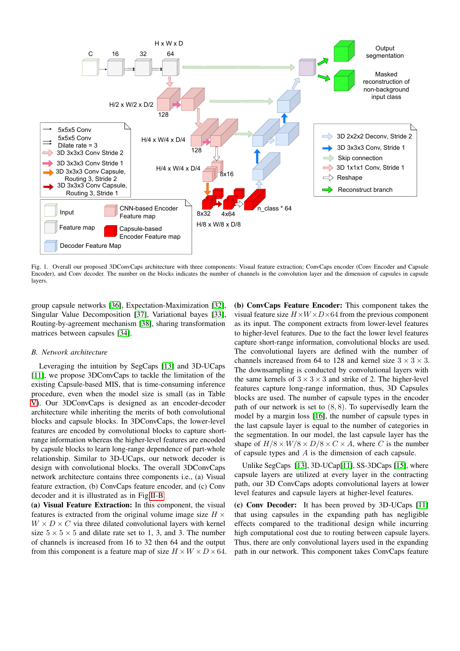

Fig. 1. Overall our proposed 3DConvCaps architecture with three components: Visual feature extraction; ConvCaps encoder (Conv Encoder and Capsule Encoder), and Conv decoder. The number on the blocks indicates the number of channels in the convolution layer and the dimension of capsules in capsule layers.

group capsule networks [\[36\]](#page-6-32), Expectation-Maximization [\[32\]](#page-6-28), Singular Value Decomposition [\[37\]](#page-6-33), Variational bayes [\[33\]](#page-6-29), Routing-by-agreement mechanism [\[38\]](#page-6-34), sharing transformation matrices between capsules [\[34\]](#page-6-30).

# *B. Network architecture*

Leveraging the intuition by SegCaps [\[13\]](#page-6-9) and 3D-UCaps [\[11\]](#page-6-7), we propose 3DConvCaps to tackle the limitation of the existing Capsule-based MIS, that is time-consuming inference procedure, even when the model size is small (as in Table [V\)](#page-5-3). Our 3DConvCaps is designed as an encoder-decoder architecture while inheriting the merits of both convolutional blocks and capsule blocks. In 3DConvCaps, the lower-level features are encoded by convolutional blocks to capture shortrange information whereas the higher-level features are encoded by capsule blocks to learn long-range dependence of part-whole relationship. Similar to 3D-UCaps, our network decoder is design with convolutional blocks. The overall 3DConvCaps network architecture contains three components i.e., (a) Visual feature extraction, (b) ConvCaps feature encoder, and (c) Conv decoder and it is illustrated as in Fig[.II-B.](#page-1-0)

(a) Visual Feature Extraction: In this component, the visual features is extracted from the original volume image size  $H \times$  $W \times D \times C$  via three dilated convolutional layers with kernel size  $5 \times 5 \times 5$  and dilate rate set to 1, 3, and 3. The number of channels is increased from 16 to 32 then 64 and the output from this component is a feature map of size  $H \times W \times D \times 64$ .

(b) ConvCaps Feature Encoder: This component takes the visual feature size  $H \times W \times D \times 64$  from the previous component as its input. The component extracts from lower-level features to higher-level features. Due to the fact the lower level features capture short-range information, convolutional blocks are used. The convolutional layers are defined with the number of channels increased from 64 to 128 and kernel size  $3 \times 3 \times 3$ . The downsampling is conducted by convolutional layers with the same kernels of  $3 \times 3 \times 3$  and strike of 2. The higher-level features capture long-range information, thus, 3D Capsules blocks are used. The number of capsule types in the encoder path of our network is set to  $(8, 8)$ . To supervisedly learn the model by a margin loss [\[16\]](#page-6-12), the number of capsule types in the last capsule layer is equal to the number of categories in the segmentation. In our model, the last capsule layer has the shape of  $H/8 \times W/8 \times D/8 \times C \times A$ , where C is the number of capsule types and  $A$  is the dimension of each capsule.

Unlike SegCaps [\[13\]](#page-6-9), 3D-UCap[\[11\]](#page-6-7), SS-3DCaps [\[15\]](#page-6-11), where capsule layers are utilized at every layer in the contracting path, our 3D ConvCaps adopts convolutional layers at lower level features and capsule layers at higher-level features.

(c) Conv Decoder: It has been proved by 3D-UCaps [\[11\]](#page-6-7) that using capsules in the expanding path has negligible effects compared to the traditional design while incurring high computational cost due to routing between capsule layers. Thus, there are only convolutional layers used in the expanding path in our network. This component takes ConvCaps feature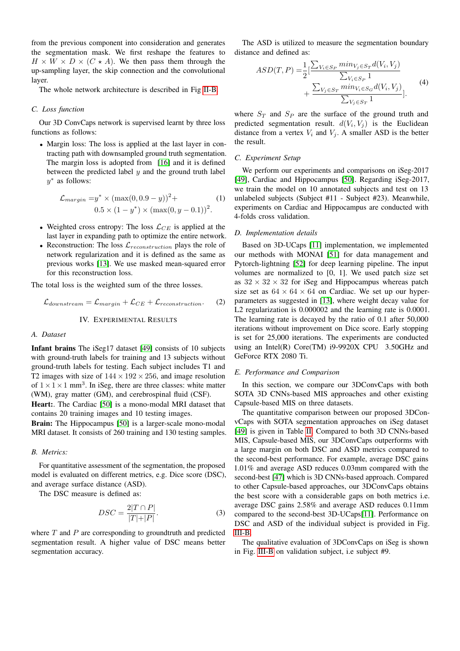from the previous component into consideration and generates the segmentation mask. We first reshape the features to  $H \times W \times D \times (C \star A)$ . We then pass them through the up-sampling layer, the skip connection and the convolutional layer.

The whole network architecture is described in Fig [II-B.](#page-1-0)

# *C. Loss function*

Our 3D ConvCaps network is supervised learnt by three loss functions as follows:

• Margin loss: The loss is applied at the last layer in contracting path with downsampled ground truth segmentation. The margin loss is adopted from [\[16\]](#page-6-12) and it is defined between the predicted label  $y$  and the ground truth label  $y^*$  as follows:

$$
\mathcal{L}_{margin} = y^* \times (\max(0, 0.9 - y))^2 +
$$
  
0.5 × (1 - y^\*) × (max(0, y - 0.1))^2. (1)

- Weighted cross entropy: The loss  $\mathcal{L}_{CE}$  is applied at the last layer in expanding path to optimize the entire network.
- Reconstruction: The loss  $\mathcal{L}_{reconstruction}$  plays the role of network regularization and it is defined as the same as previous works [\[13\]](#page-6-9). We use masked mean-squared error for this reconstruction loss.

The total loss is the weighted sum of the three losses.

$$
\mathcal{L}_{downstream} = \mathcal{L}_{margin} + \mathcal{L}_{CE} + \mathcal{L}_{reconstruction}.
$$
 (2)

# IV. EXPERIMENTAL RESULTS

#### *A. Dataset*

Infant brains The iSeg17 dataset [\[49\]](#page-6-35) consists of 10 subjects with ground-truth labels for training and 13 subjects without ground-truth labels for testing. Each subject includes T1 and T2 images with size of  $144 \times 192 \times 256$ , and image resolution of  $1 \times 1 \times 1$  mm<sup>3</sup>. In iSeg, there are three classes: white matter (WM), gray matter (GM), and cerebrospinal fluid (CSF).

Heart:. The Cardiac [\[50\]](#page-6-36) is a mono-modal MRI dataset that contains 20 training images and 10 testing images.

Brain: The Hippocampus [\[50\]](#page-6-36) is a larger-scale mono-modal MRI dataset. It consists of 260 training and 130 testing samples.

#### *B. Metrics:*

For quantitative assessment of the segmentation, the proposed model is evaluated on different metrics, e.g. Dice score (DSC), and average surface distance (ASD).

The DSC measure is defined as:

$$
DSC = \frac{2|T \cap P|}{|T| + |P|}.
$$
\n(3)

where  $T$  and  $P$  are corresponding to groundtruth and predicted segmentation result. A higher value of DSC means better segmentation accuracy.

The ASD is utilized to measure the segmentation boundary distance and defined as:

$$
ASD(T, P) = \frac{1}{2} \left[ \frac{\sum_{V_i \in S_P} min_{V_j \in S_T} d(V_i, V_j)}{\sum_{V_i \in S_P} 1} + \frac{\sum_{V_j \in S_T} min_{V_i \in S_G} d(V_i, V_j)}{\sum_{V_j \in S_T} 1} \right].
$$
\n(4)

where  $S_T$  and  $S_P$  are the surface of the ground truth and predicted segmentation result.  $d(V_i, V_j)$  is the Euclidean distance from a vertex  $V_i$  and  $V_j$ . A smaller ASD is the better the result.

#### *C. Experiment Setup*

We perform our experiments and comparisons on iSeg-2017 [\[49\]](#page-6-35), Cardiac and Hippocampus [\[50\]](#page-6-36). Regarding iSeg-2017, we train the model on 10 annotated subjects and test on 13 unlabeled subjects (Subject #11 - Subject #23). Meanwhile, experiments on Cardiac and Hippocampus are conducted with 4-folds cross validation.

# *D. Implementation details*

Based on 3D-UCaps [\[11\]](#page-6-7) implementation, we implemented our methods with MONAI [\[51\]](#page-6-37) for data management and Pytorch-lightning [\[52\]](#page-6-38) for deep learning pipeline. The input volumes are normalized to [0, 1]. We used patch size set as  $32 \times 32 \times 32$  for iSeg and Hippocampus whereas patch size set as  $64 \times 64 \times 64$  on Cardiac. We set up our hyperparameters as suggested in [\[13\]](#page-6-9), where weight decay value for L2 regularization is 0.000002 and the learning rate is 0.0001. The learning rate is decayed by the ratio of 0.1 after 50,000 iterations without improvement on Dice score. Early stopping is set for 25,000 iterations. The experiments are conducted using an Intel(R) Core(TM) i9-9920X CPU 3.50GHz and GeForce RTX 2080 Ti.

#### *E. Performance and Comparison*

In this section, we compare our 3DConvCaps with both SOTA 3D CNNs-based MIS approaches and other existing Capsule-based MIS on three datasets.

The quantitative comparison between our proposed 3DConvCaps with SOTA segmentation approaches on iSeg dataset [\[49\]](#page-6-35) is given in Table [II.](#page-4-0) Compared to both 3D CNNs-based MIS, Capsule-based MIS, our 3DConvCaps outperforms with a large margin on both DSC and ASD metrics compared to the second-best performance. For example, average DSC gains 1.01% and average ASD reduces 0.03mm compared with the second-best [\[47\]](#page-6-39) which is 3D CNNs-based approach. Compared to other Capsule-based approaches, our 3DConvCaps obtains the best score with a considerable gaps on both metrics i.e. average DSC gains 2.58% and average ASD reduces 0.11mm compared to the second-best 3D-UCaps[\[11\]](#page-6-7). Performance on DSC and ASD of the individual subject is provided in Fig. [III-B.](#page-5-3)

The qualitative evaluation of 3DConvCaps on iSeg is shown in Fig. [III-B](#page-4-1) on validation subject, i.e subject #9.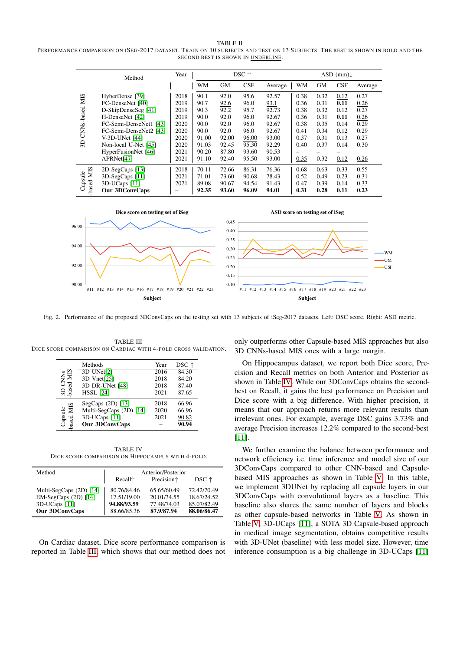#### TABLE II

<span id="page-4-0"></span>PERFORMANCE COMPARISON ON ISEG-2017 DATASET. TRAIN ON 10 SUBJECTS AND TEST ON 13 SUBJECTS. THE BEST IS SHOWN IN BOLD AND THE SECOND BEST IS SHOWN IN UNDERLINE.

|             | Year<br>Method                    |              |                | DSC ↑          |                |                |      |           | ASD $(mm)$ |         |  |  |
|-------------|-----------------------------------|--------------|----------------|----------------|----------------|----------------|------|-----------|------------|---------|--|--|
|             |                                   |              | WM             | <b>GM</b>      | CSF            | Average        | WM   | <b>GM</b> | CSF        | Average |  |  |
| SIM         | HyberDense [39]                   | 2018         | 90.1           | 92.0           | 95.6           | 92.57          | 0.38 | 0.32      | 0.12       | 0.27    |  |  |
|             | FC-DenseNet [40]                  | 2019         | 90.7           | 92.6           | 96.0           | 93.1           | 0.36 | 0.31      | 0.11       | 0.26    |  |  |
|             | D-SkipDenseSeg [41]               | 2019         | 90.3           | 92.2           | 95.7           | 92.73          | 0.38 | 0.32      | 0.12       | 0.27    |  |  |
| CNNs-based  | H-DenseNet [42]                   | 2019         | 90.0           | 92.0           | 96.0           | 92.67          | 0.36 | 0.31      | 0.11       | 0.26    |  |  |
|             | FC-Semi-DenseNet1 [43]            | 2020         | 90.0           | 92.0           | 96.0           | 92.67          | 0.38 | 0.35      | 0.14       | 0.29    |  |  |
|             | FC-Semi-DenseNet2 [43]            | 2020         | 90.0           | 92.0           | 96.0           | 92.67          | 0.41 | 0.34      | 0.12       | 0.29    |  |  |
| 3D          | $V-3D-UNet [44]$                  | 2020         | 91.00          | 92.00          | 96.00          | 93.00          | 0.37 | 0.31      | 0.13       | 0.27    |  |  |
|             | Non-local U-Net [45]              | 2020         | 91.03          | 92.45          | 95.30          | 92.29          | 0.40 | 0.37      | 0.14       | 0.30    |  |  |
|             | HyperFusionNet [46]<br>APRNet[47] | 2021<br>2021 | 90.20<br>91.10 | 87.80<br>92.40 | 93.60<br>95.50 | 90.53<br>93.00 | 0.35 | 0.32      | 0.12       | 0.26    |  |  |
| <b>NIIS</b> | 2D SegCaps [13]                   | 2018         | 70.11          | 72.66          | 86.31          | 76.36          | 0.68 | 0.63      | 0.33       | 0.55    |  |  |
|             | 3D-SegCaps [11]                   | 2021         | 71.01          | 73.60          | 90.68          | 78.43          | 0.52 | 0.49      | 0.23       | 0.31    |  |  |
| Capsule     | 3D-UCaps [11]                     | 2021         | 89.08          | 90.67          | 94.54          | 91.43          | 0.47 | 0.39      | 0.14       | 0.33    |  |  |
| based       | <b>Our 3DConvCaps</b>             |              | 92.35          | 93.60          | 96.09          | 94.01          | 0.31 | 0.28      | 0.11       | 0.23    |  |  |



Fig. 2. Performance of the proposed 3DConvCaps on the testing set with 13 subjects of iSeg-2017 datasets. Left: DSC score. Right: ASD metric.

<span id="page-4-2"></span>TABLE III DICE SCORE COMPARISON ON CARDIAC WITH 4-FOLD CROSS VALIDATION.

|                            | Methods                 | Year | DSC ↑ |
|----------------------------|-------------------------|------|-------|
|                            | 3D UNet[2]              | 2016 | 84.30 |
| NMS<br>LMIS                | 3D Vnet[25]             | 2018 | 84.20 |
| ಕ                          | 3D DR-UNet [48]         | 2018 | 87.40 |
| æ<br>$\tilde{\phantom{a}}$ | <b>HSSL [24]</b>        | 2021 | 87.65 |
|                            | SegCaps $(2D)$ [13]     | 2018 | 66.96 |
| XIIX                       | Multi-SegCaps (2D) [14] | 2020 | 66.96 |
|                            | 3D-UCaps [11]           | 2021 | 90.82 |
| Capsule<br>pased MI        | Our 3DConvCaps          |      | 90.94 |

<span id="page-4-3"></span>TABLE IV DICE SCORE COMPARISON ON HIPPOCAMPUS WITH 4-FOLD.

| Method                                                            | Anterior/Posterior                        |                                           |                                           |  |  |  |  |
|-------------------------------------------------------------------|-------------------------------------------|-------------------------------------------|-------------------------------------------|--|--|--|--|
|                                                                   | Recall <sub>1</sub>                       | Precision <sup>+</sup>                    | $DSC \uparrow$                            |  |  |  |  |
| Multi-SegCaps (2D) [14]<br>$EM-SegCaps(2D)$ [14]<br>3D-UCaps [11] | 80.76/84.46<br>17.51/19.00<br>94.88/93.59 | 65.65/60.49<br>20.01/34.55<br>77.48/74.03 | 72,42/70.49<br>18.67/24.52<br>85.07/82.49 |  |  |  |  |
| <b>Our 3DConvCaps</b>                                             | 88.66/85.36                               | 87.9/87.94                                | 88.06/86.47                               |  |  |  |  |

On Cardiac dataset, Dice score performance comparison is reported in Table [III,](#page-4-2) which shows that our method does not

<span id="page-4-1"></span>only outperforms other Capsule-based MIS approaches but also 3D CNNs-based MIS ones with a large margin.

On Hippocampus dataset, we report both Dice score, Precision and Recall metrics on both Anterior and Posterior as shown in Table [IV.](#page-4-3) While our 3DConvCaps obtains the secondbest on Recall, it gains the best performance on Precision and Dice score with a big difference. With higher precision, it means that our approach returns more relevant results than irrelevant ones. For example, average DSC gains 3.73% and average Precision increases 12.2% compared to the second-best  $[11]$ .

We further examine the balance between performance and network efficiency i.e. time inference and model size of our 3DConvCaps compared to other CNN-based and Capsulebased MIS approaches as shown in Table [V.](#page-5-3) In this table, we implement 3DUNet by replacing all capsule layers in our 3DConvCaps with convolutional layers as a baseline. This baseline also shares the same number of layers and blocks as other capsule-based networks in Table [V.](#page-5-3) As shown in Table [V,](#page-5-3) 3D-UCaps [\[11\]](#page-6-7), a SOTA 3D Capsule-based approach in medical image segmentation, obtains competitive results with 3D-UNet (baseline) with less model size. However, time inference consumption is a big challenge in 3D-UCaps [\[11\]](#page-6-7)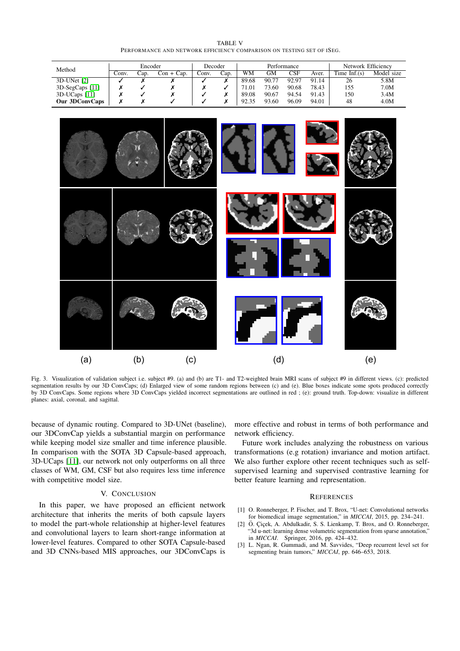| <b>TABLE V</b>                                                        |  |  |  |  |  |  |  |  |  |
|-----------------------------------------------------------------------|--|--|--|--|--|--|--|--|--|
| PERFORMANCE AND NETWORK EFFICIENCY COMPARISON ON TESTING SET OF ISEG. |  |  |  |  |  |  |  |  |  |

<span id="page-5-3"></span>

| Method                | Encoder |      | Decoder      |       | Performance |       |       |              | Network Efficiency |                 |            |
|-----------------------|---------|------|--------------|-------|-------------|-------|-------|--------------|--------------------|-----------------|------------|
|                       | Conv.   | Cap. | $Con + Cap.$ | Conv. | Cap.        | WМ    | GМ    | $_{\rm CSF}$ | Aver.              | Time Inf. $(s)$ | Model size |
| 3D-UNet [2]           |         |      |              |       |             | 89.68 | 90.77 | 92.97        | 91.14              | 26              | 5.8M       |
| 3D-SegCaps [11]       |         |      |              |       |             | 71.01 | 73.60 | 90.68        | 78.43              | 155             | 7.0M       |
| 3D-UCaps [11]         |         |      |              |       |             | 89.08 | 90.67 | 94.54        | 91.43              | 150             | 3.4M       |
| <b>Our 3DConvCaps</b> |         |      |              |       |             | 92.35 | 93.60 | 96.09        | 94.01              | 48              | 4.0M       |



Fig. 3. Visualization of validation subject i.e. subject #9. (a) and (b) are T1- and T2-weighted brain MRI scans of subject #9 in different views. (c): predicted segmentation results by our 3D ConvCaps; (d) Enlarged view of some random regions between (c) and (e). Blue boxes indicate some spots produced correctly by 3D ConvCaps. Some regions where 3D ConvCaps yielded incorrect segmentations are outlined in red ; (e): ground truth. Top-down: visualize in different planes: axial, coronal, and sagittal.

because of dynamic routing. Compared to 3D-UNet (baseline), our 3DConvCap yields a substantial margin on performance while keeping model size smaller and time inference plausible. In comparison with the SOTA 3D Capsule-based approach, 3D-UCaps [\[11\]](#page-6-7), our network not only outperforms on all three classes of WM, GM, CSF but also requires less time inference with competitive model size.

# V. CONCLUSION

In this paper, we have proposed an efficient network architecture that inherits the merits of both capsule layers to model the part-whole relationship at higher-level features and convolutional layers to learn short-range information at lower-level features. Compared to other SOTA Capsule-based and 3D CNNs-based MIS approaches, our 3DConvCaps is

more effective and robust in terms of both performance and network efficiency.

Future work includes analyzing the robustness on various transformations (e.g rotation) invariance and motion artifact. We also further explore other recent techniques such as selfsupervised learning and supervised contrastive learning for better feature learning and representation.

#### **REFERENCES**

- <span id="page-5-0"></span>[1] O. Ronneberger, P. Fischer, and T. Brox, "U-net: Convolutional networks for biomedical image segmentation," in *MICCAI*, 2015, pp. 234–241.
- <span id="page-5-1"></span>[2] Ö. Çiçek, A. Abdulkadir, S. S. Lienkamp, T. Brox, and O. Ronneberger, "3d u-net: learning dense volumetric segmentation from sparse annotation," in *MICCAI*. Springer, 2016, pp. 424–432.
- <span id="page-5-2"></span>[3] L. Ngan, R. Gummadi, and M. Savvides, "Deep recurrent level set for segmenting brain tumors," *MICCAI*, pp. 646–653, 2018.